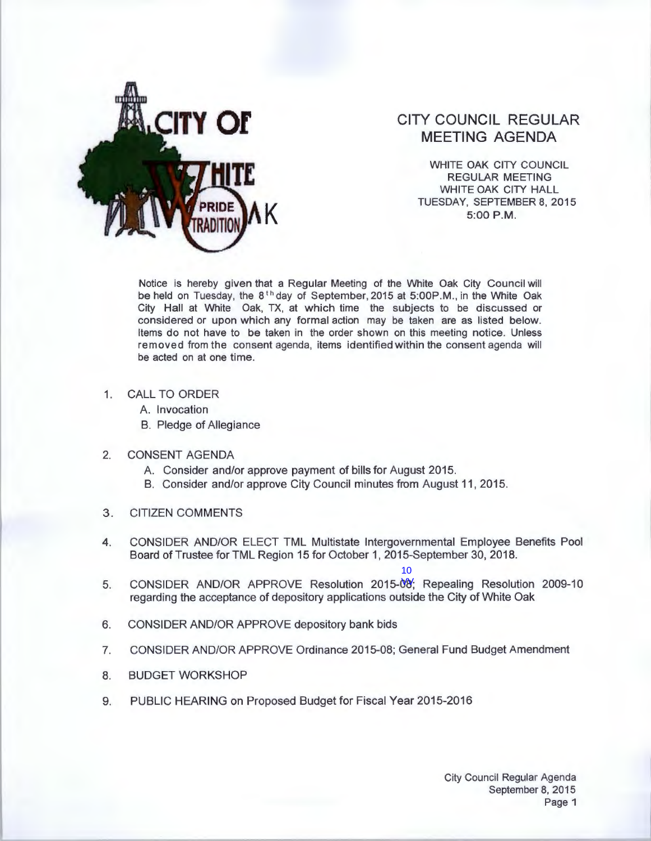

## **CITY COUNCIL REGULAR MEETING AGENDA**

WHITE OAK CITY COUNCIL REGULAR MEETING WHITE OAK CITY HALL TUESDAY, SEPTEMBER 8, 2015<br>5:00 P.M.

Notice is hereby given that a Regular Meeting of the White Oak City Council will be held on Tuesday, the  $8<sup>th</sup>$  day of September, 2015 at 5:00P.M., in the White Oak City Hall at White Oak, TX, at which time the subjects to be discussed or considered or upon which any formal action may be taken are as listed below. Items do not have to be taken in the order shown on this meeting notice. Unless removed from the consent agenda, items identified within the consent agenda will be acted on at one time.

- 1. CALL TO ORDER
	- A. Invocation
	- B. Pledge of Allegiance
- 2. CONSENT AGENDA
	- A. Consider and/or approve payment of bills for August 2015.
	- B. Consider and/or approve City Council minutes from August 11, 2015.
- 3. CITIZEN COMMENTS
- 4. CONSIDER AND/OR ELECT TML Multistate Intergovernmental Employee Benefits Pool Board of Trustee for TML Region 15 for October 1, 2015-September 30, 2018.
- <sup>10</sup><br>5. CONSIDER AND/OR APPROVE Resolution 2015-08; Repealing Resolution 2009-10 regarding the acceptance of depository applications outside the City of White Oak
- 6. CONSIDER AND/OR APPROVE depository bank bids
- 7. CONSIDER AND/OR APPROVE Ordinance 2015-08; General Fund Budget Amendment
- 8. BUDGET WORKSHOP
- 9. PUBLIC HEARING on Proposed Budget for Fiscal Year 2015-2016